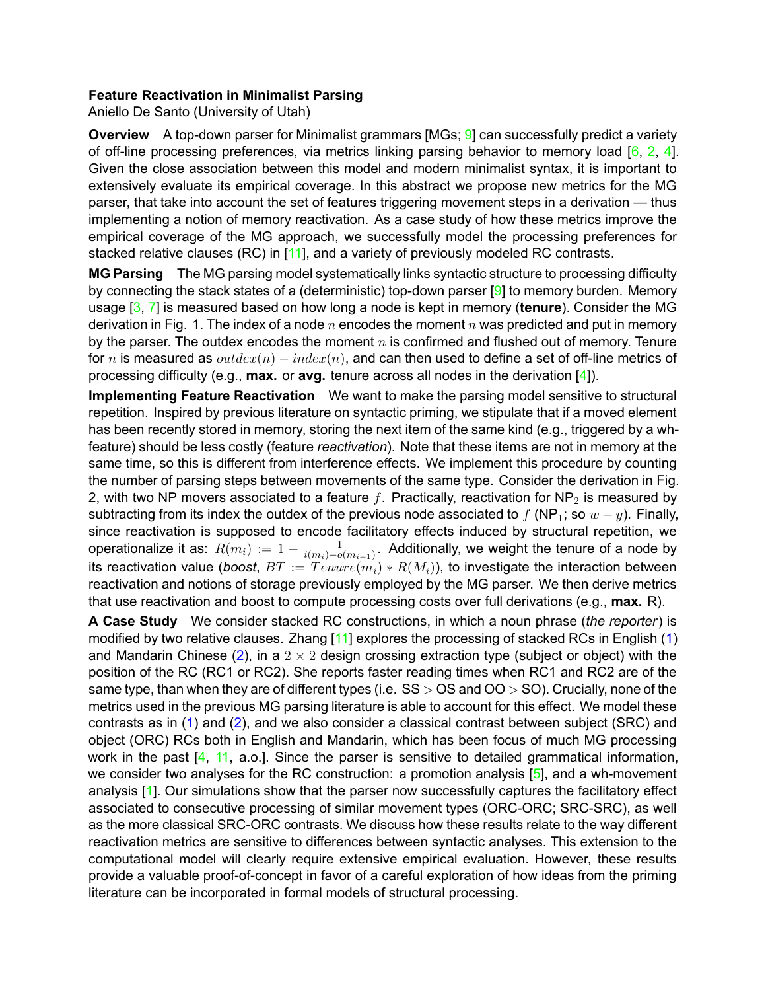## **Feature Reactivation in Minimalist Parsing**

<span id="page-0-8"></span>Aniello De Santo (University of Utah)

<span id="page-0-5"></span><span id="page-0-3"></span><span id="page-0-2"></span>**Overview** A top-down parser for Minimalist grammars [MGs; 9] can successfully predict a variety of off-line processing preferences, via metrics linking parsing behavior to memory load  $[6, 2, 4]$ . Given the close association between this model and modern minimalist syntax, it is important to extensively evaluate its empirical coverage. In this abstract we propose new metrics for the MG parser, that take into account the set of features triggering movement steps in a derivation — thus implementing a notion of memory reactivation. As a case study of how these metrics improve the empirical coverage of the MG approach, we successfully model the processing preferences for stacked relative clauses (RC) in [11], and a variety of previously modeled RC contrasts.

<span id="page-0-7"></span><span id="page-0-6"></span><span id="page-0-4"></span><span id="page-0-1"></span><span id="page-0-0"></span>MG Parsing The MG parsing model systematically links syntactic structure to processing difficulty by connecting the stack states of a (deterministic) top-down parser  $[9]$  to memory burden. Memory usage  $[3, 7]$  is measured based on how long a node is kept in memory (tenure). Consider the MG derivation in Fig. 1. The index of a node  $n$  encodes the moment  $n$  was predicted and put in memory by the parser. The outdex encodes the moment  $n$  is confirmed and flushed out of memory. Tenure for n is measured as  $outdex(n) - index(n)$ , and can then used to define a set of off-line metrics of processing difficulty (e.g., **max.** or **avg.** tenure across all nodes in the derivation  $[4]$ ).

Implementing Feature Reactivation We want to make the parsing model sensitive to structural repetition. Inspired by previous literature on syntactic priming, we stipulate that if a moved element has been recently stored in memory, storing the next item of the same kind (e.g., triggered by a whfeature) should be less costly (feature reactivation). Note that these items are not in memory at the same time, so this is different from interference effects. We implement this procedure by counting the number of parsing steps between movements of the same type. Consider the derivation in Fig. 2, with two NP movers associated to a feature f. Practically, reactivation for NP<sub>2</sub> is measured by subtracting from its index the outdex of the previous node associated to f (NP<sub>1</sub>; so  $w - y$ ). Finally, since reactivation is supposed to encode facilitatory effects induced by structural repetition, we operationalize it as:  $R(m_i) := 1 - \frac{1}{i(m_i) - o(m_{i-1})}$ . Additionally, we weight the tenure of a node by its reactivation value (boost,  $BT := Tenure(m_i) * R(M_i)$ ), to investigate the interaction between reactivation and notions of storage previously employed by the MG parser. We then derive metrics that use reactivation and boost to compute processing costs over full derivations (e.g., max. R).

A Case Study We consider stacked RC constructions, in which a noun phrase (the reporter) is modified by two relative clauses. Zhang [11] explores the processing of stacked RCs in English (1) and Mandarin Chinese (2), in a  $2 \times 2$  design crossing extraction type (subject or object) with the position of the RC (RC1 or RC2). She reports faster reading times when RC1 and RC2 are of the same type, than when they are of different types (i.e.  $SS > OS$  and  $OO > SO$ ). Crucially, none of the metrics used in the previous MG parsing literature is able to account for this effect. We model these contrasts as in (1) and (2), and we also consider a classical contrast between subject (SRC) and object (ORC) RCs both in English and Mandarin, which has been focus of much MG processing work in the past [4, 11, a.o.]. Since the parser is sensitive to detailed grammatical information, we consider two analyses for the RC construction: a promotion analysis  $[5]$ , and a wh-movement analysis [1]. Our simulations show that the parser now successfully captures the facilitatory effect associated to consecutive processing of similar movement types (ORC-ORC; SRC-SRC), as well as the more classical SRC-ORC contrasts. We discuss how these results relate to the way different reactivation metrics are sensitive to differences between syntactic analyses. This extension to the computational model will clearly require extensive empirical evaluation. However, these results provide a valuable proof-of-concept in favor of a careful exploration of how ideas from the priming literature can be incorporated in formal models of structural processing.